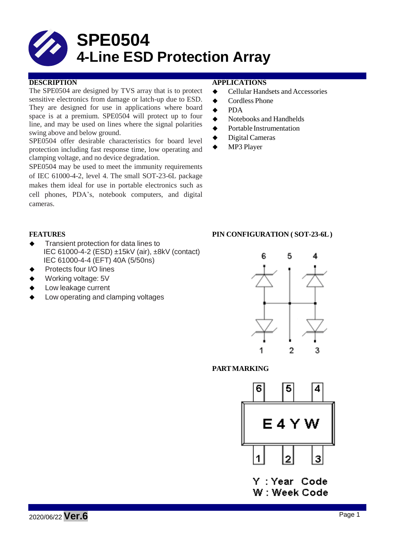# **SPE0504 4-Line ESD Protection Array**

The SPE0504 are designed by TVS array that is to protect sensitive electronics from damage or latch-up due to ESD. They are designed for use in applications where board space is at a premium. SPE0504 will protect up to four line, and may be used on lines where the signal polarities swing above and below ground.

SPE0504 offer desirable characteristics for board level protection including fast response time, low operating and clamping voltage, and no device degradation.

SPE0504 may be used to meet the immunity requirements of IEC 61000-4-2, level 4. The small SOT-23-6L package makes them ideal for use in portable electronics such as cell phones, PDA's, notebook computers, and digital cameras.

#### **DESCRIPTION APPLICATIONS**

- ◆ Cellular Handsets and Accessories
- ◆ Cordless Phone
- **←** PDA
- $\blacklozenge$  Notebooks and Handhelds
- **◆** Portable Instrumentation
- ◆ Digital Cameras
- MP3 Player

- Transient protection for data lines to IEC 61000-4-2 (ESD) ±15kV (air), ±8kV (contact) IEC 61000-4-4 (EFT) 40A (5/50ns)
- Protects four I/O lines
- Working voltage: 5V
- Low leakage current
- Low operating and clamping voltages

### **FEATURES PIN CONFIGURATION ( SOT-23-6L)**



#### **PARTMARKING**



Y : Year Code W: Week Code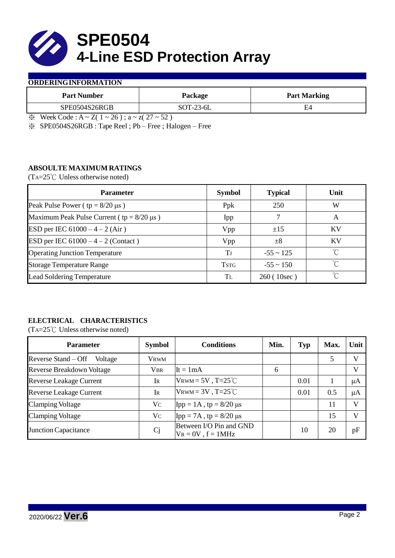

#### **ORDERINGINFORMATION**

| <b>Part Number</b> | Package                      | <b>Part Marking</b> |  |  |
|--------------------|------------------------------|---------------------|--|--|
| SPE0504S26RGB      | $SOT-23-6L$                  | C4                  |  |  |
| $\mathbf{v}$       | $ -$<br>$\sim$ $\sim$ $\sim$ |                     |  |  |

 $\& \text{Week Code : A} \sim Z(1 \sim 26); a \sim z(27 \sim 52)$ 

※ SPE0504S26RGB : Tape Reel ; Pb – Free ; Halogen – Free

### **ABSOULTE MAXIMUM RATINGS**

(TA=25℃ Unless otherwise noted)

| <b>Parameter</b>                                 | <b>Symbol</b> | <b>Typical</b> | Unit         |
|--------------------------------------------------|---------------|----------------|--------------|
| Peak Pulse Power ( $tp = 8/20 \mu s$ )           | Ppk           | 250            | W            |
| Maximum Peak Pulse Current ( $tp = 8/20 \mu s$ ) | Ipp           |                | A            |
| ESD per IEC $61000 - 4 - 2$ (Air)                | Vpp           | ±15            | KV           |
| ESD per IEC $61000 - 4 - 2$ (Contact)            | Vpp           | $\pm 8$        | KV           |
| <b>Operating Junction Temperature</b>            | Tл            | $-55 \sim 125$ | $^{\circ}$ C |
| <b>Storage Temperature Range</b>                 | <b>TSTG</b>   | $-55 \sim 150$ | $^{\circ}C$  |
| <b>Lead Soldering Temperature</b>                | TL.           | 260 (10sec)    | $\gamma$     |

# **ELECTRICAL CHARACTERISTICS**

(TA=25℃ Unless otherwise noted)

| <b>Parameter</b>                 | <b>Symbol</b> | <b>Conditions</b>                                  | Min. | <b>Typ</b> | Max. | Unit         |
|----------------------------------|---------------|----------------------------------------------------|------|------------|------|--------------|
| Reverse Stand – Off<br>Voltage   | <b>VRWM</b>   |                                                    |      |            | 5    | V            |
| <b>Reverse Breakdown Voltage</b> | <b>VBR</b>    | $It = 1mA$                                         | 6    |            |      | V            |
| <b>Reverse Leakage Current</b>   | Ir            | $V_{\text{RWM}} = 5V$ , T=25 <sup>°</sup> C        |      | 0.01       |      | $\mu A$      |
| <b>Reverse Leakage Current</b>   | IR            | $V_{\text{RWM}} = 3V$ , T=25 <sup>°</sup> C        |      | 0.01       | 0.5  | $\mu A$      |
| <b>Clamping Voltage</b>          | Vc            | $\text{Ipp} = 1 \text{A}$ , tp = 8/20 µs           |      |            | 11   | $\mathbf{V}$ |
| <b>Clamping Voltage</b>          | Vc            | $\text{Ipp} = 7\text{A}$ , tp = 8/20 µs            |      |            | 15   | V            |
| Junction Capacitance             | Cj            | Between I/O Pin and GND<br>$V_R = 0V$ , $f = 1MHz$ |      | 10         | 20   | pF           |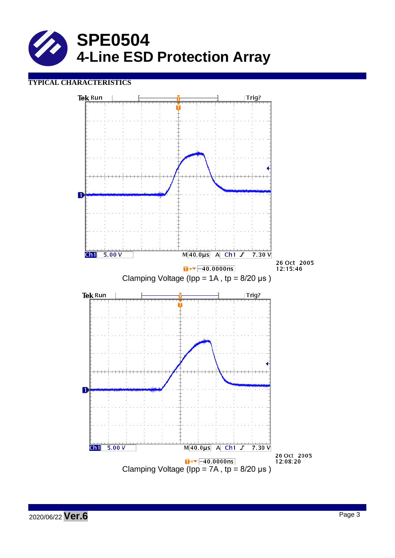

## **TYPICAL CHARACTERISTICS**

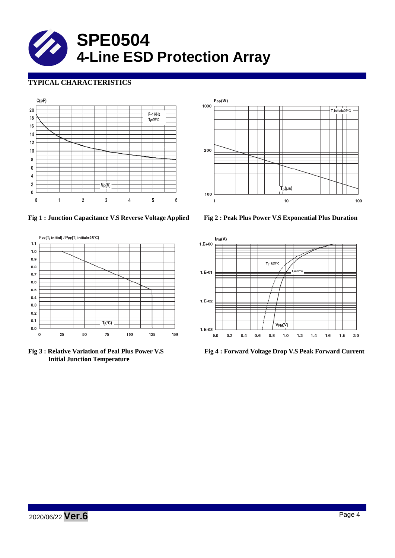

# **TYPICAL CHARACTERISTICS**





**Fig 1 : Junction Capacitance V.S Reverse Voltage Applied Fig 2 : Peak Plus Power V.S Exponential Plus Duration**



**Initial Junction Temperature**



**Fig 3 : Relative Variation of Peal Plus Power V.S Fig 4 : Forward Voltage Drop V.S Peak Forward Current**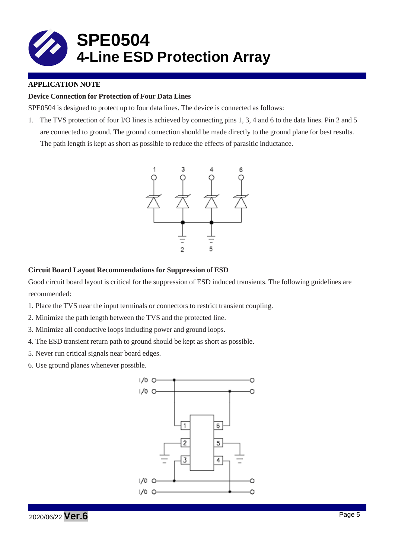

### **APPLICATION NOTE**

#### **Device Connection for Protection of Four Data Lines**

SPE0504 is designed to protect up to four data lines. The device is connected as follows:

1. The TVS protection of four I/O lines is achieved by connecting pins 1, 3, 4 and 6 to the data lines. Pin 2 and 5 are connected to ground. The ground connection should be made directly to the ground plane for best results. The path length is kept as short as possible to reduce the effects of parasitic inductance.



#### **Circuit Board Layout Recommendations for Suppression of ESD**

Good circuit board layout is critical for the suppression of ESD induced transients. The following guidelines are recommended:

- 1. Place the TVS near the input terminals or connectors to restrict transient coupling.
- 2. Minimize the path length between the TVS and the protected line.
- 3. Minimize all conductive loops including power and ground loops.
- 4. The ESD transient return path to ground should be kept as short as possible.
- 5. Never run critical signals near board edges.
- 6. Use ground planes whenever possible.